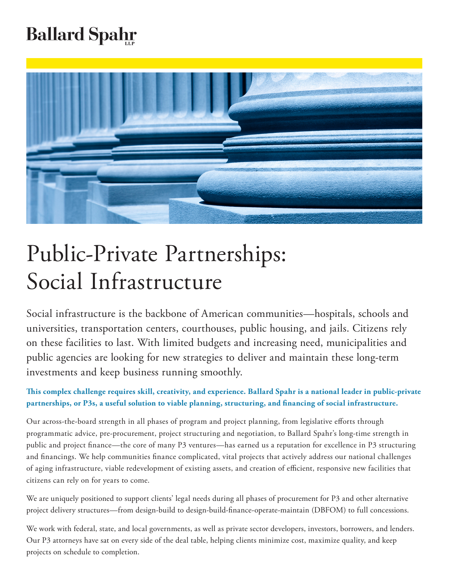# **Ballard Spahr**



# Public-Private Partnerships: Social Infrastructure

Social infrastructure is the backbone of American communities—hospitals, schools and universities, transportation centers, courthouses, public housing, and jails. Citizens rely on these facilities to last. With limited budgets and increasing need, municipalities and public agencies are looking for new strategies to deliver and maintain these long-term investments and keep business running smoothly.

# **This complex challenge requires skill, creativity, and experience. Ballard Spahr is a national leader in public-private partnerships, or P3s, a useful solution to viable planning, structuring, and financing of social infrastructure.**

Our across-the-board strength in all phases of program and project planning, from legislative efforts through programmatic advice, pre-procurement, project structuring and negotiation, to Ballard Spahr's long-time strength in public and project finance—the core of many P3 ventures—has earned us a reputation for excellence in P3 structuring and financings. We help communities finance complicated, vital projects that actively address our national challenges of aging infrastructure, viable redevelopment of existing assets, and creation of efficient, responsive new facilities that citizens can rely on for years to come.

We are uniquely positioned to support clients' legal needs during all phases of procurement for P3 and other alternative project delivery structures—from design-build to design-build-finance-operate-maintain (DBFOM) to full concessions.

We work with federal, state, and local governments, as well as private sector developers, investors, borrowers, and lenders. Our P3 attorneys have sat on every side of the deal table, helping clients minimize cost, maximize quality, and keep projects on schedule to completion.